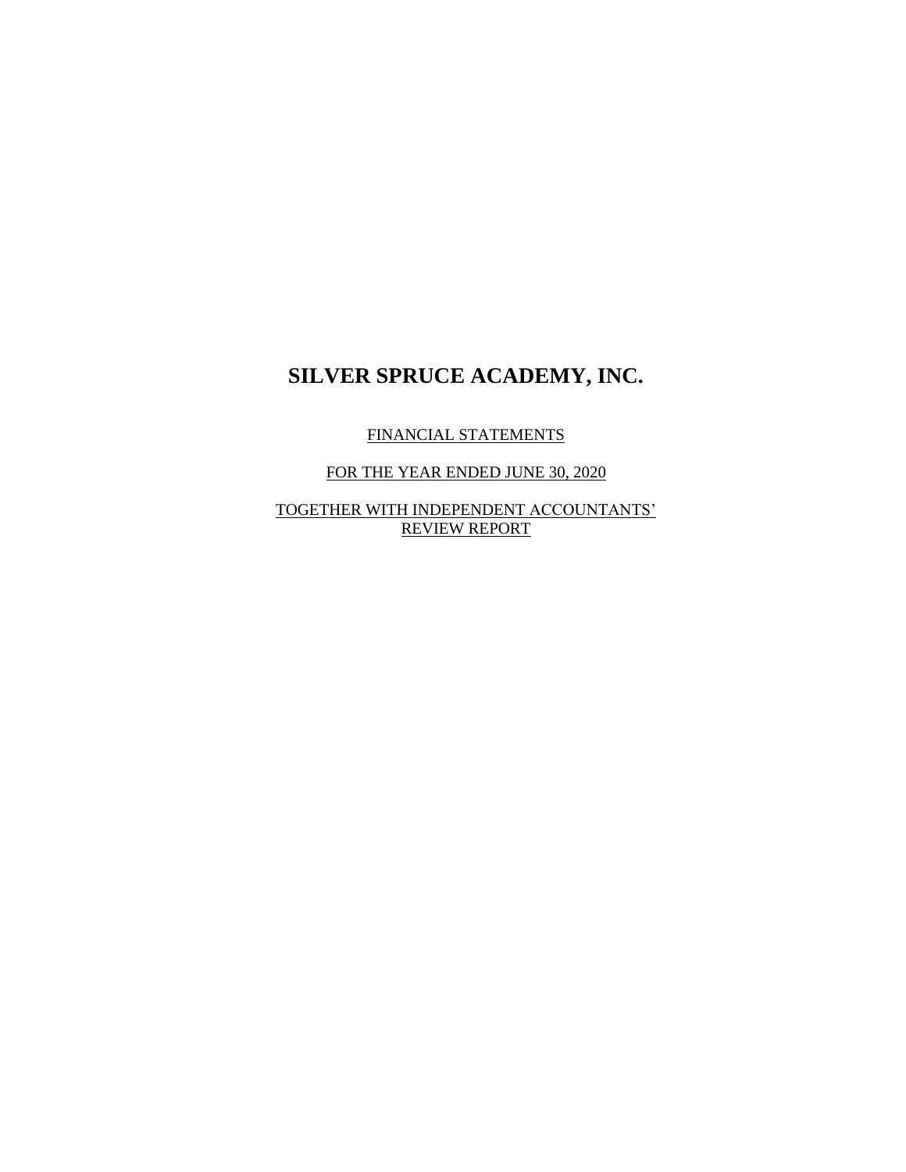FINANCIAL STATEMENTS

FOR THE YEAR ENDED JUNE 30, 2020

TOGETHER WITH INDEPENDENT ACCOUNTANTS' REVIEW REPORT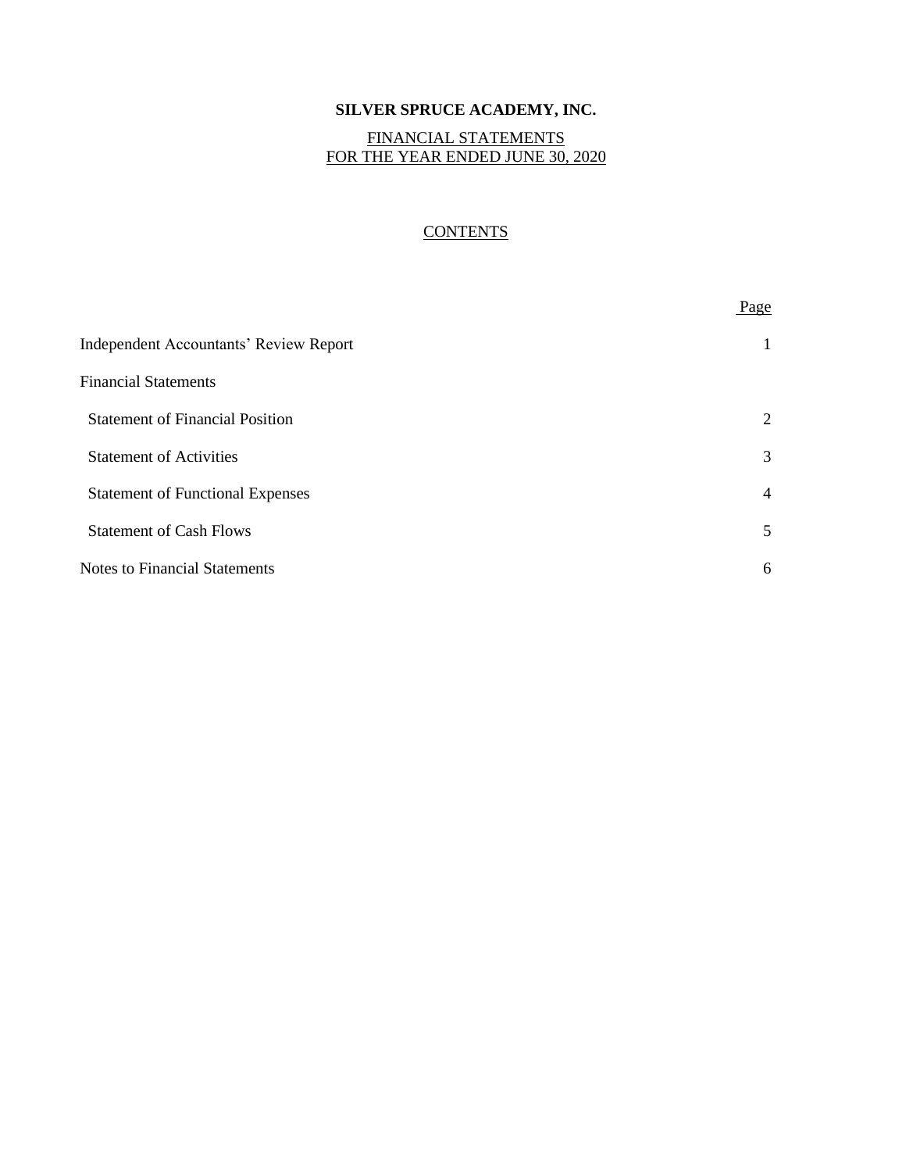### FINANCIAL STATEMENTS FOR THE YEAR ENDED JUNE 30, 2020

# **CONTENTS**

|                                               | Page           |
|-----------------------------------------------|----------------|
| <b>Independent Accountants' Review Report</b> |                |
| <b>Financial Statements</b>                   |                |
| <b>Statement of Financial Position</b>        | 2              |
| <b>Statement of Activities</b>                | 3              |
| <b>Statement of Functional Expenses</b>       | $\overline{4}$ |
| <b>Statement of Cash Flows</b>                | 5              |
| <b>Notes to Financial Statements</b>          | 6              |
|                                               |                |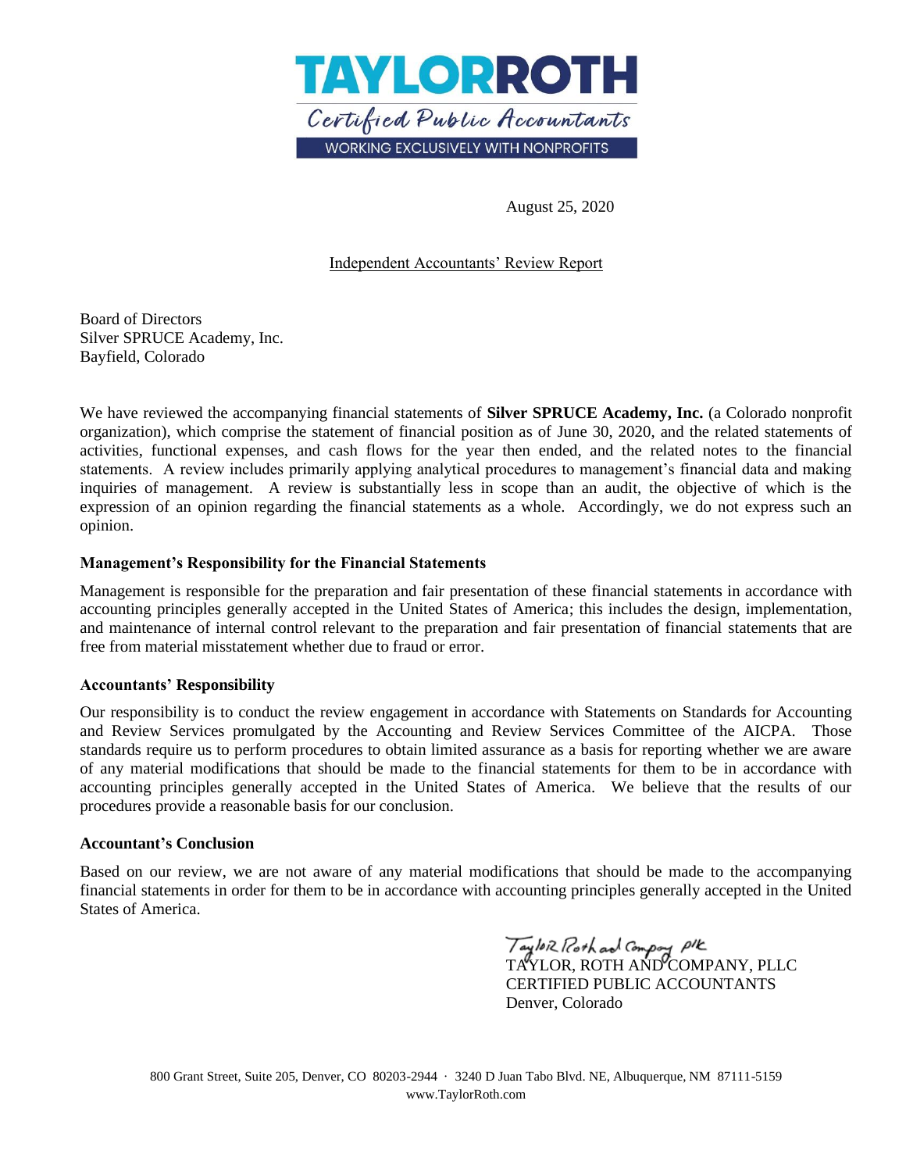

August 25, 2020

Independent Accountants' Review Report

Board of Directors Silver SPRUCE Academy, Inc. Bayfield, Colorado

We have reviewed the accompanying financial statements of **Silver SPRUCE Academy, Inc.** (a Colorado nonprofit organization), which comprise the statement of financial position as of June 30, 2020, and the related statements of activities, functional expenses, and cash flows for the year then ended, and the related notes to the financial statements. A review includes primarily applying analytical procedures to management's financial data and making inquiries of management. A review is substantially less in scope than an audit, the objective of which is the expression of an opinion regarding the financial statements as a whole. Accordingly, we do not express such an opinion.

### **Management's Responsibility for the Financial Statements**

Management is responsible for the preparation and fair presentation of these financial statements in accordance with accounting principles generally accepted in the United States of America; this includes the design, implementation, and maintenance of internal control relevant to the preparation and fair presentation of financial statements that are free from material misstatement whether due to fraud or error.

### **Accountants' Responsibility**

Our responsibility is to conduct the review engagement in accordance with Statements on Standards for Accounting and Review Services promulgated by the Accounting and Review Services Committee of the AICPA. Those standards require us to perform procedures to obtain limited assurance as a basis for reporting whether we are aware of any material modifications that should be made to the financial statements for them to be in accordance with accounting principles generally accepted in the United States of America. We believe that the results of our procedures provide a reasonable basis for our conclusion.

### **Accountant's Conclusion**

Based on our review, we are not aware of any material modifications that should be made to the accompanying financial statements in order for them to be in accordance with accounting principles generally accepted in the United States of America.

> Taylor Poth and Compay Plk<br>TAYLOR, ROTH AND COMPANY, PLLC CERTIFIED PUBLIC ACCOUNTANTS Denver, Colorado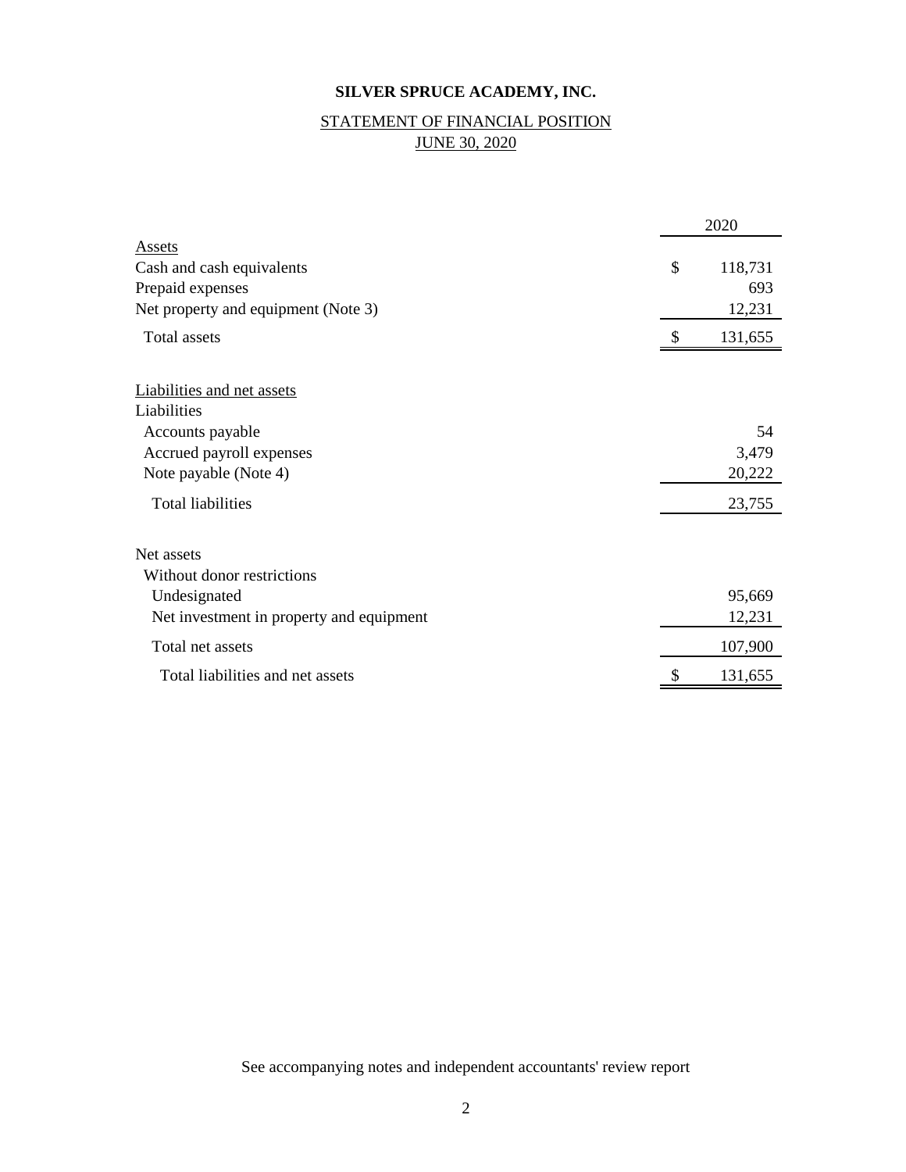# STATEMENT OF FINANCIAL POSITION JUNE 30, 2020

|                                          | 2020 |         |
|------------------------------------------|------|---------|
| <b>Assets</b>                            |      |         |
| Cash and cash equivalents                | \$   | 118,731 |
| Prepaid expenses                         |      | 693     |
| Net property and equipment (Note 3)      |      | 12,231  |
| <b>Total assets</b>                      |      | 131,655 |
|                                          |      |         |
| Liabilities and net assets               |      |         |
| Liabilities                              |      |         |
| Accounts payable                         |      | 54      |
| Accrued payroll expenses                 |      | 3,479   |
| Note payable (Note 4)                    |      | 20,222  |
| <b>Total liabilities</b>                 |      | 23,755  |
|                                          |      |         |
| Net assets                               |      |         |
| Without donor restrictions               |      |         |
| Undesignated                             |      | 95,669  |
| Net investment in property and equipment |      | 12,231  |
| Total net assets                         |      | 107,900 |
| Total liabilities and net assets         | \$   | 131,655 |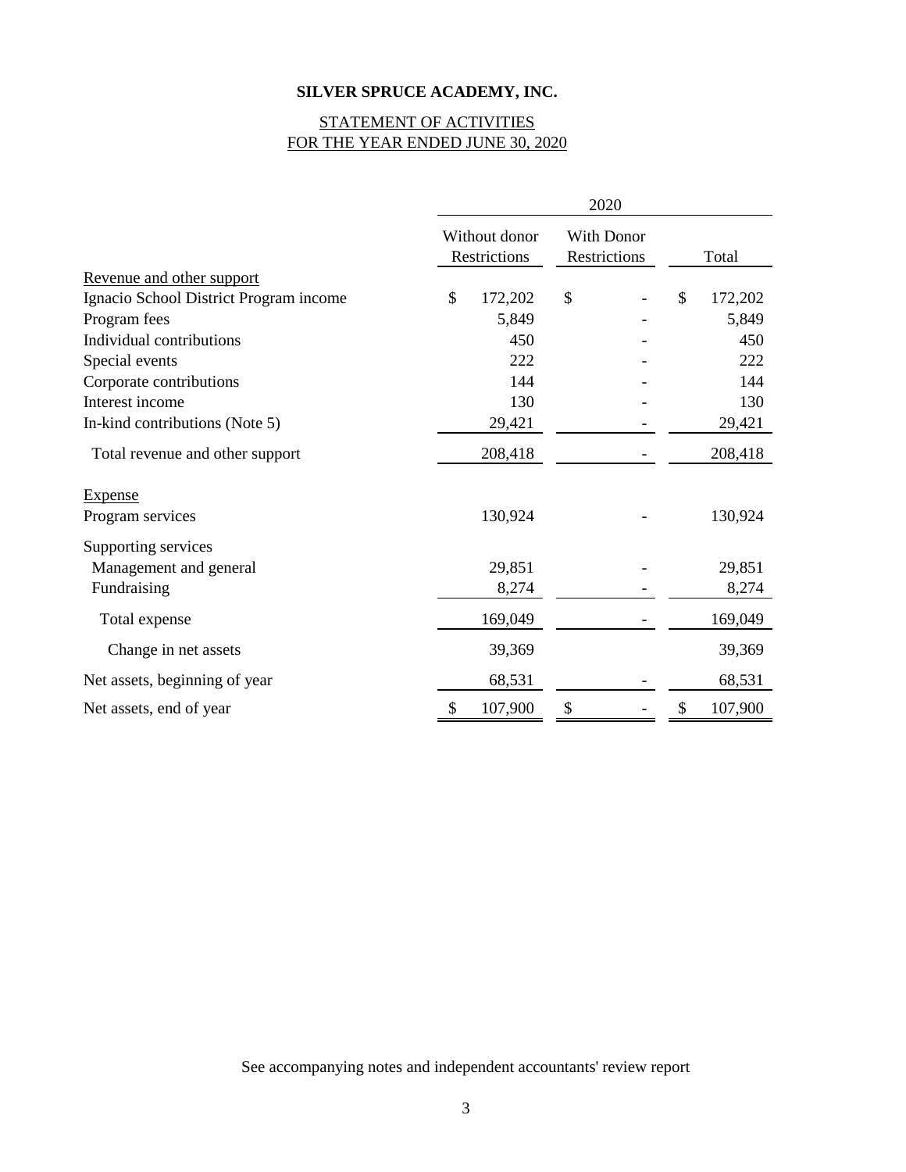# STATEMENT OF ACTIVITIES FOR THE YEAR ENDED JUNE 30, 2020

|                                        |                               | 2020    |                                   |  |       |         |
|----------------------------------------|-------------------------------|---------|-----------------------------------|--|-------|---------|
|                                        | Without donor<br>Restrictions |         | <b>With Donor</b><br>Restrictions |  | Total |         |
| Revenue and other support              |                               |         |                                   |  |       |         |
| Ignacio School District Program income | \$                            | 172,202 | \$                                |  | \$    | 172,202 |
| Program fees                           |                               | 5,849   |                                   |  |       | 5,849   |
| Individual contributions               |                               | 450     |                                   |  |       | 450     |
| Special events                         |                               | 222     |                                   |  |       | 222     |
| Corporate contributions                |                               | 144     |                                   |  |       | 144     |
| Interest income                        |                               | 130     |                                   |  |       | 130     |
| In-kind contributions (Note 5)         |                               | 29,421  |                                   |  |       | 29,421  |
| Total revenue and other support        |                               | 208,418 |                                   |  |       | 208,418 |
| <b>Expense</b>                         |                               |         |                                   |  |       |         |
| Program services                       |                               | 130,924 |                                   |  |       | 130,924 |
| Supporting services                    |                               |         |                                   |  |       |         |
| Management and general                 |                               | 29,851  |                                   |  |       | 29,851  |
| Fundraising                            |                               | 8,274   |                                   |  |       | 8,274   |
| Total expense                          |                               | 169,049 |                                   |  |       | 169,049 |
| Change in net assets                   |                               | 39,369  |                                   |  |       | 39,369  |
| Net assets, beginning of year          |                               | 68,531  |                                   |  |       | 68,531  |
| Net assets, end of year                | \$                            | 107,900 | \$                                |  | \$    | 107,900 |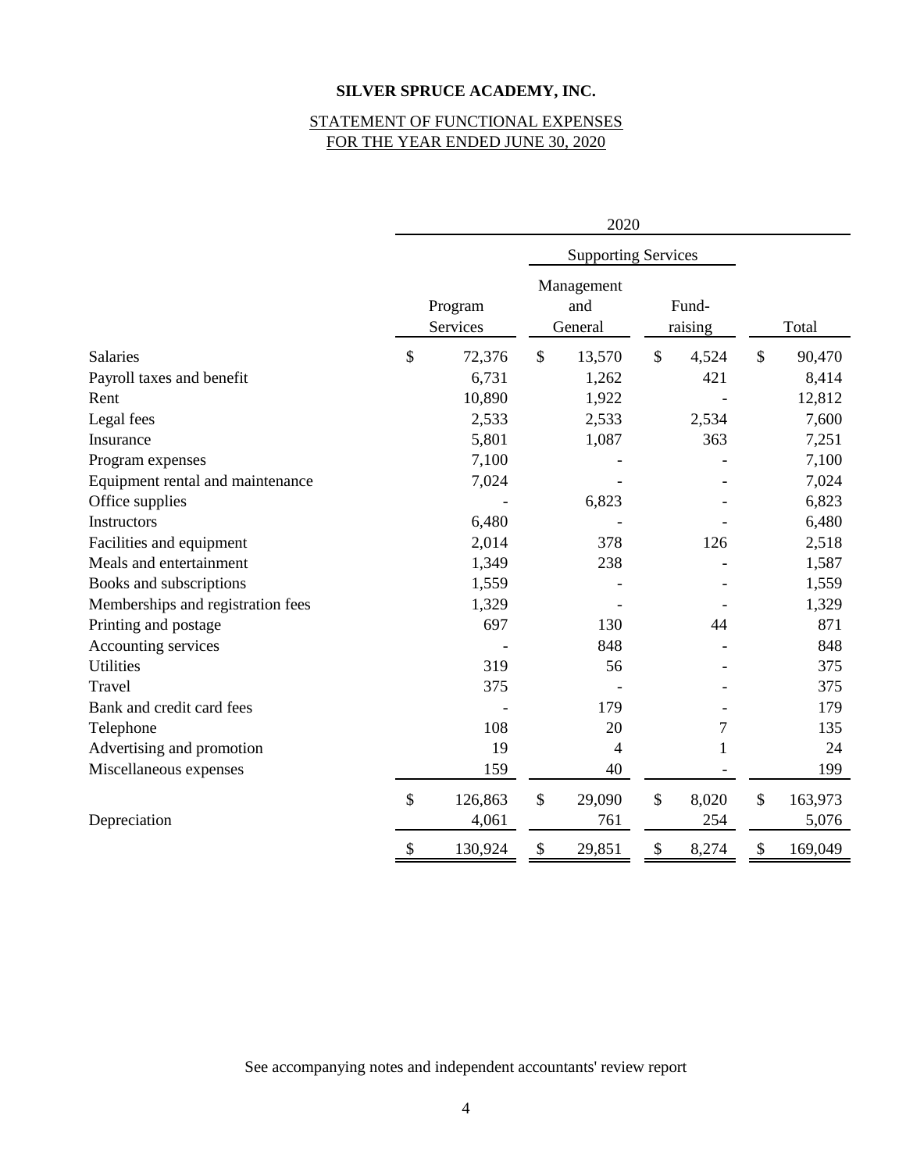### STATEMENT OF FUNCTIONAL EXPENSES FOR THE YEAR ENDED JUNE 30, 2020

|                                   |                            |                     |                           | 2020                         |                  |              |         |
|-----------------------------------|----------------------------|---------------------|---------------------------|------------------------------|------------------|--------------|---------|
|                                   | <b>Supporting Services</b> |                     |                           |                              |                  |              |         |
|                                   |                            | Program<br>Services |                           | Management<br>and<br>General | Fund-<br>raising |              | Total   |
| <b>Salaries</b>                   | \$                         | 72,376              | $\boldsymbol{\mathsf{S}}$ | 13,570                       | \$<br>4,524      | $\mathbb{S}$ | 90,470  |
| Payroll taxes and benefit         |                            | 6,731               |                           | 1,262                        | 421              |              | 8,414   |
| Rent                              |                            | 10,890              |                           | 1,922                        |                  |              | 12,812  |
| Legal fees                        |                            | 2,533               |                           | 2,533                        | 2,534            |              | 7,600   |
| Insurance                         |                            | 5,801               |                           | 1,087                        | 363              |              | 7,251   |
| Program expenses                  |                            | 7,100               |                           |                              |                  |              | 7,100   |
| Equipment rental and maintenance  |                            | 7,024               |                           |                              |                  |              | 7,024   |
| Office supplies                   |                            |                     |                           | 6,823                        |                  |              | 6,823   |
| Instructors                       |                            | 6,480               |                           |                              |                  |              | 6,480   |
| Facilities and equipment          |                            | 2,014               |                           | 378                          | 126              |              | 2,518   |
| Meals and entertainment           |                            | 1,349               |                           | 238                          |                  |              | 1,587   |
| Books and subscriptions           |                            | 1,559               |                           |                              |                  |              | 1,559   |
| Memberships and registration fees |                            | 1,329               |                           |                              |                  |              | 1,329   |
| Printing and postage              |                            | 697                 |                           | 130                          | 44               |              | 871     |
| Accounting services               |                            |                     |                           | 848                          |                  |              | 848     |
| <b>Utilities</b>                  |                            | 319                 |                           | 56                           |                  |              | 375     |
| Travel                            |                            | 375                 |                           |                              |                  |              | 375     |
| Bank and credit card fees         |                            |                     |                           | 179                          |                  |              | 179     |
| Telephone                         |                            | 108                 |                           | 20                           | 7                |              | 135     |
| Advertising and promotion         |                            | 19                  |                           | 4                            | $\mathbf{1}$     |              | 24      |
| Miscellaneous expenses            |                            | 159                 |                           | 40                           |                  |              | 199     |
|                                   | \$                         | 126,863             | \$                        | 29,090                       | \$<br>8,020      | \$           | 163,973 |
| Depreciation                      |                            | 4,061               |                           | 761                          | 254              |              | 5,076   |
|                                   | \$                         | 130,924             | \$                        | 29,851                       | \$<br>8,274      | \$           | 169,049 |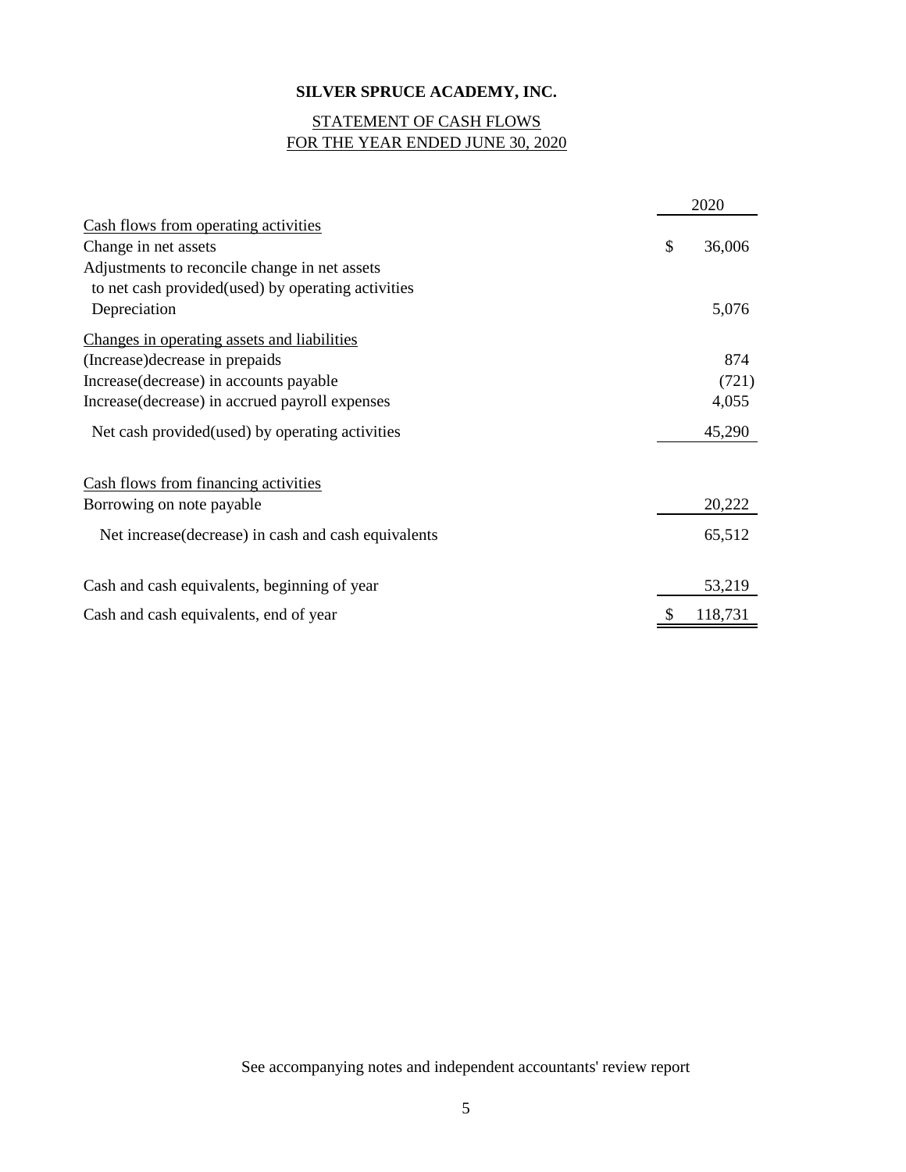### STATEMENT OF CASH FLOWS FOR THE YEAR ENDED JUNE 30, 2020

|                                                      | 2020         |
|------------------------------------------------------|--------------|
| Cash flows from operating activities                 |              |
| Change in net assets                                 | \$<br>36,006 |
| Adjustments to reconcile change in net assets        |              |
| to net cash provided (used) by operating activities  |              |
| Depreciation                                         | 5,076        |
| Changes in operating assets and liabilities          |              |
| (Increase) decrease in prepaids                      | 874          |
| Increase (decrease) in accounts payable              | (721)        |
| Increase (decrease) in accrued payroll expenses      | 4,055        |
| Net cash provided (used) by operating activities     | 45,290       |
| Cash flows from financing activities                 |              |
| Borrowing on note payable                            | 20,222       |
| Net increase (decrease) in cash and cash equivalents | 65,512       |
| Cash and cash equivalents, beginning of year         | 53,219       |
| Cash and cash equivalents, end of year               | 118,731      |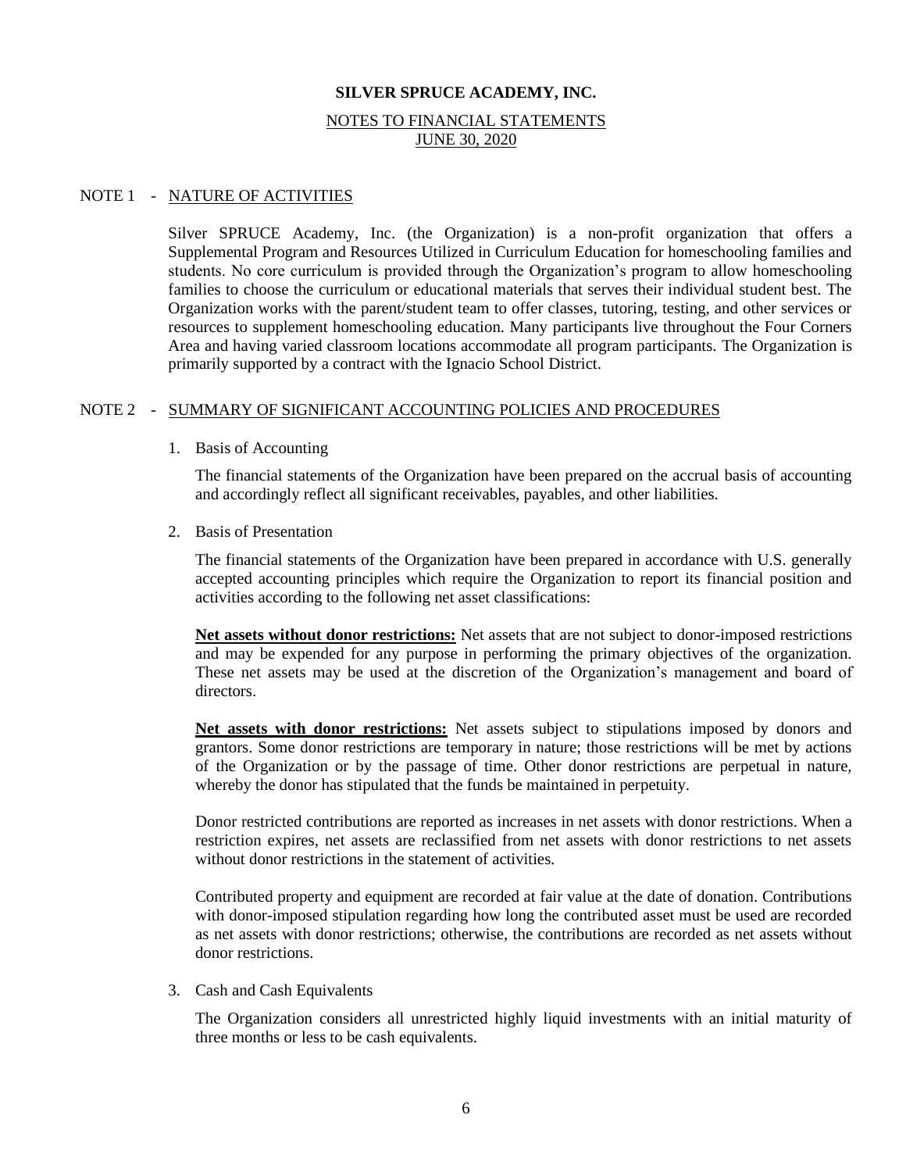### NOTES TO FINANCIAL STATEMENTS JUNE 30, 2020

### NOTE 1 - NATURE OF ACTIVITIES

Silver SPRUCE Academy, Inc. (the Organization) is a non-profit organization that offers a Supplemental Program and Resources Utilized in Curriculum Education for homeschooling families and students. No core curriculum is provided through the Organization's program to allow homeschooling families to choose the curriculum or educational materials that serves their individual student best. The Organization works with the parent/student team to offer classes, tutoring, testing, and other services or resources to supplement homeschooling education. Many participants live throughout the Four Corners Area and having varied classroom locations accommodate all program participants. The Organization is primarily supported by a contract with the Ignacio School District.

### NOTE 2 - SUMMARY OF SIGNIFICANT ACCOUNTING POLICIES AND PROCEDURES

### 1. Basis of Accounting

The financial statements of the Organization have been prepared on the accrual basis of accounting and accordingly reflect all significant receivables, payables, and other liabilities.

2. Basis of Presentation

The financial statements of the Organization have been prepared in accordance with U.S. generally accepted accounting principles which require the Organization to report its financial position and activities according to the following net asset classifications:

**Net assets without donor restrictions:** Net assets that are not subject to donor-imposed restrictions and may be expended for any purpose in performing the primary objectives of the organization. These net assets may be used at the discretion of the Organization's management and board of directors.

**Net assets with donor restrictions:** Net assets subject to stipulations imposed by donors and grantors. Some donor restrictions are temporary in nature; those restrictions will be met by actions of the Organization or by the passage of time. Other donor restrictions are perpetual in nature, whereby the donor has stipulated that the funds be maintained in perpetuity.

Donor restricted contributions are reported as increases in net assets with donor restrictions. When a restriction expires, net assets are reclassified from net assets with donor restrictions to net assets without donor restrictions in the statement of activities.

Contributed property and equipment are recorded at fair value at the date of donation. Contributions with donor-imposed stipulation regarding how long the contributed asset must be used are recorded as net assets with donor restrictions; otherwise, the contributions are recorded as net assets without donor restrictions.

3. Cash and Cash Equivalents

The Organization considers all unrestricted highly liquid investments with an initial maturity of three months or less to be cash equivalents.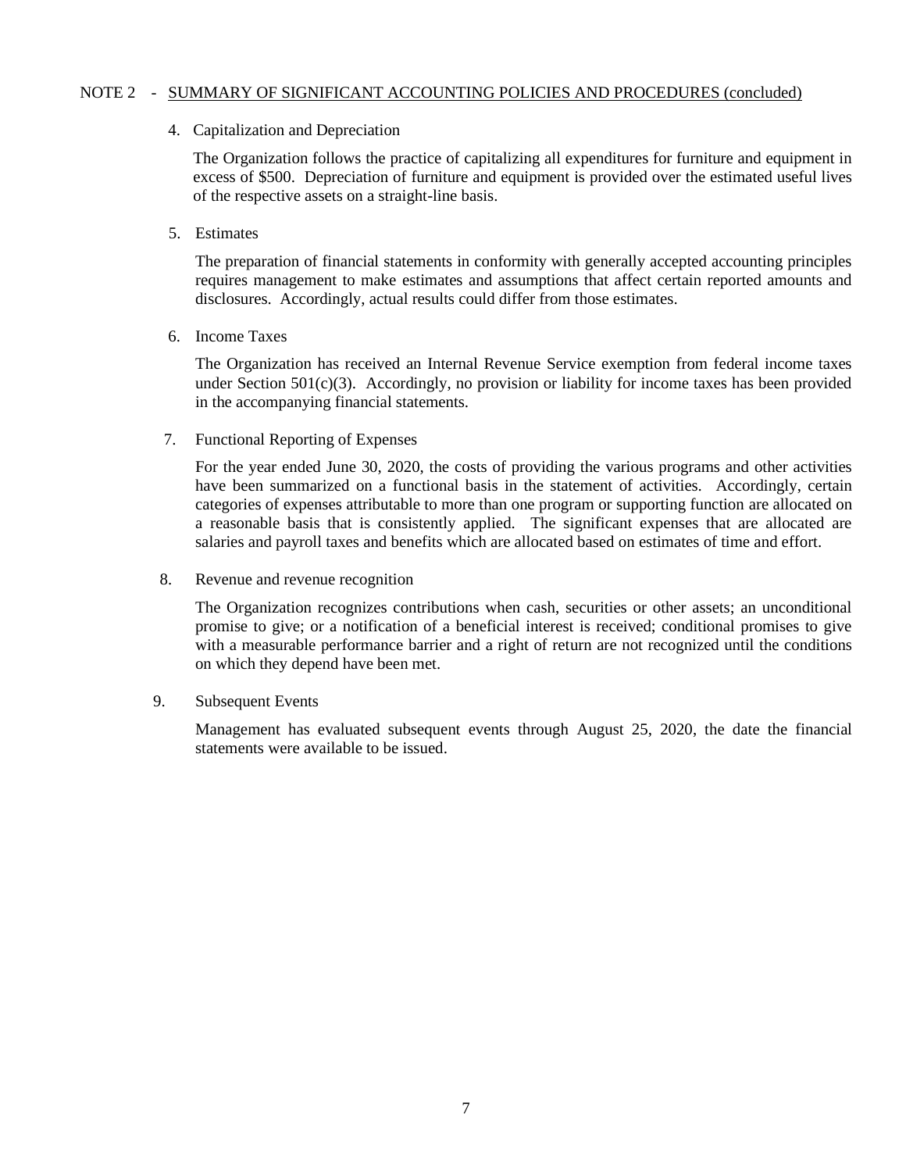#### NOTE 2 - SUMMARY OF SIGNIFICANT ACCOUNTING POLICIES AND PROCEDURES (concluded)

### 4. Capitalization and Depreciation

The Organization follows the practice of capitalizing all expenditures for furniture and equipment in excess of \$500. Depreciation of furniture and equipment is provided over the estimated useful lives of the respective assets on a straight-line basis.

5. Estimates

The preparation of financial statements in conformity with generally accepted accounting principles requires management to make estimates and assumptions that affect certain reported amounts and disclosures. Accordingly, actual results could differ from those estimates.

6. Income Taxes

The Organization has received an Internal Revenue Service exemption from federal income taxes under Section 501(c)(3). Accordingly, no provision or liability for income taxes has been provided in the accompanying financial statements.

7. Functional Reporting of Expenses

For the year ended June 30, 2020, the costs of providing the various programs and other activities have been summarized on a functional basis in the statement of activities. Accordingly, certain categories of expenses attributable to more than one program or supporting function are allocated on a reasonable basis that is consistently applied. The significant expenses that are allocated are salaries and payroll taxes and benefits which are allocated based on estimates of time and effort.

8. Revenue and revenue recognition

The Organization recognizes contributions when cash, securities or other assets; an unconditional promise to give; or a notification of a beneficial interest is received; conditional promises to give with a measurable performance barrier and a right of return are not recognized until the conditions on which they depend have been met.

9. Subsequent Events

Management has evaluated subsequent events through August 25, 2020, the date the financial statements were available to be issued.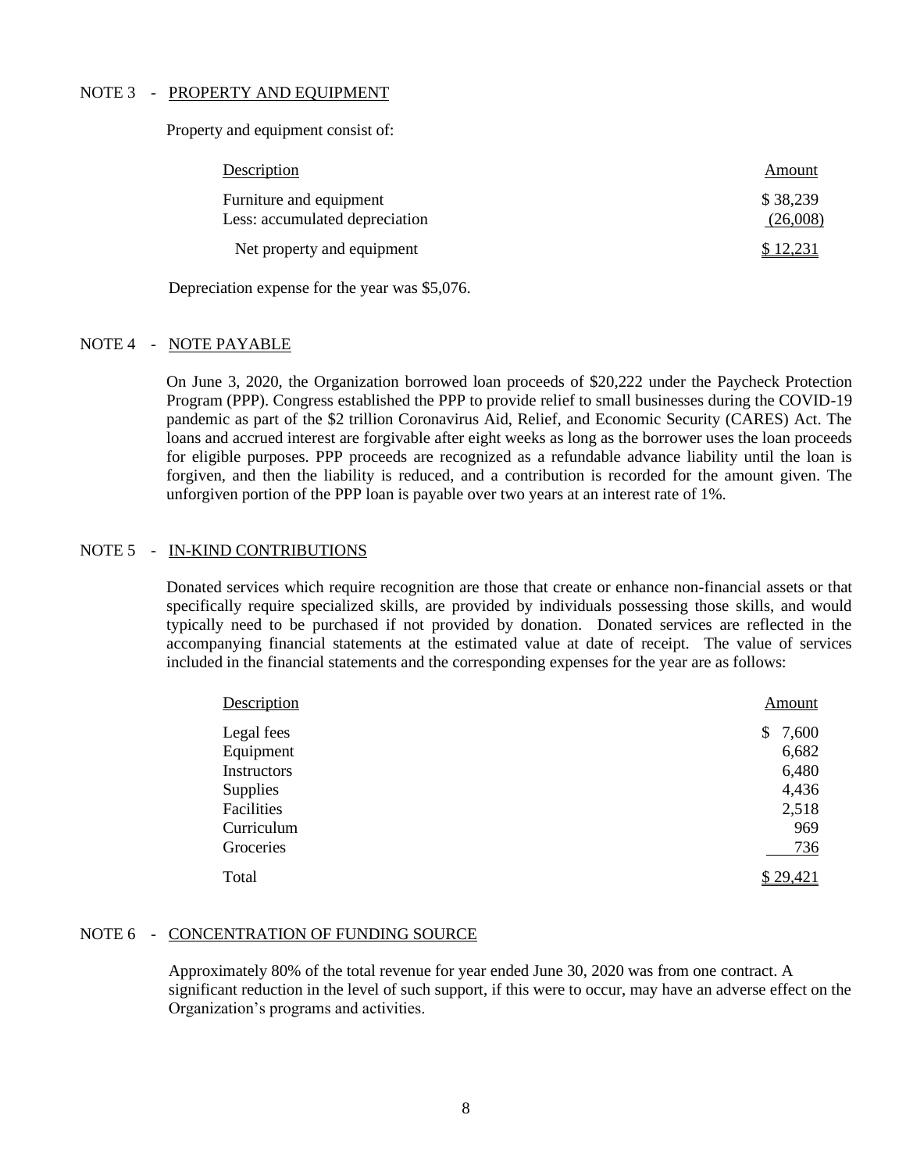#### NOTE 3 - PROPERTY AND EQUIPMENT

Property and equipment consist of:

| Description                                               | Amount               |
|-----------------------------------------------------------|----------------------|
| Furniture and equipment<br>Less: accumulated depreciation | \$38,239<br>(26,008) |
| Net property and equipment                                | \$12,231             |

Depreciation expense for the year was \$5,076.

#### NOTE 4 - NOTE PAYABLE

On June 3, 2020, the Organization borrowed loan proceeds of \$20,222 under the Paycheck Protection Program (PPP). Congress established the PPP to provide relief to small businesses during the COVID-19 pandemic as part of the \$2 trillion Coronavirus Aid, Relief, and Economic Security (CARES) Act. The loans and accrued interest are forgivable after eight weeks as long as the borrower uses the loan proceeds for eligible purposes. PPP proceeds are recognized as a refundable advance liability until the loan is forgiven, and then the liability is reduced, and a contribution is recorded for the amount given. The unforgiven portion of the PPP loan is payable over two years at an interest rate of 1%.

#### NOTE 5 - IN-KIND CONTRIBUTIONS

Donated services which require recognition are those that create or enhance non-financial assets or that specifically require specialized skills, are provided by individuals possessing those skills, and would typically need to be purchased if not provided by donation. Donated services are reflected in the accompanying financial statements at the estimated value at date of receipt. The value of services included in the financial statements and the corresponding expenses for the year are as follows:

| Description     | Amount      |  |
|-----------------|-------------|--|
| Legal fees      | 7,600<br>\$ |  |
| Equipment       | 6,682       |  |
| Instructors     | 6,480       |  |
| <b>Supplies</b> | 4,436       |  |
| Facilities      | 2,518       |  |
| Curriculum      | 969         |  |
| Groceries       | 736         |  |
| Total           | \$29,421    |  |

#### NOTE 6 - CONCENTRATION OF FUNDING SOURCE

Approximately 80% of the total revenue for year ended June 30, 2020 was from one contract. A significant reduction in the level of such support, if this were to occur, may have an adverse effect on the Organization's programs and activities.